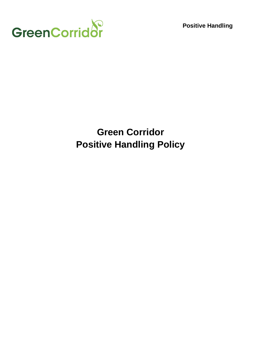

**Positive Handling**

# **Green Corridor Positive Handling Policy**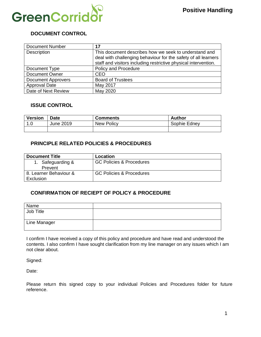

# **DOCUMENT CONTROL**

| <b>Document Number</b>    | 17                                                                                                                      |
|---------------------------|-------------------------------------------------------------------------------------------------------------------------|
| Description               | This document describes how we seek to understand and<br>deal with challenging behaviour for the safety of all learners |
|                           | staff and visitors including restrictive physical intervention.                                                         |
| Document Type             | Policy and Procedure                                                                                                    |
| Document Owner            | <b>CEO</b>                                                                                                              |
| <b>Document Approvers</b> | <b>Board of Trustees</b>                                                                                                |
| <b>Approval Date</b>      | May 2017                                                                                                                |
| Date of Next Review       | May 2020                                                                                                                |

#### **ISSUE CONTROL**

| Version | <b>Date</b> | <b>Comments</b>   | Author       |
|---------|-------------|-------------------|--------------|
| ! 1.C   | June 2019   | <b>New Policy</b> | Sophie Edney |
|         |             |                   |              |

#### **PRINCIPLE RELATED POLICIES & PROCEDURES**

| <b>Document Title</b>               | Location                 |
|-------------------------------------|--------------------------|
| 1. Safeguarding &<br>Prevent        | GC Policies & Procedures |
| 8. Learner Behaviour &<br>Exclusion | GC Policies & Procedures |

#### **CONFIRMATION OF RECIEPT OF POLICY & PROCEDURE**

| Name         |  |
|--------------|--|
| Job Title    |  |
| Line Manager |  |

I confirm I have received a copy of this policy and procedure and have read and understood the contents. I also confirm I have sought clarification from my line manager on any issues which I am not clear about.

Signed:

Date:

Please return this signed copy to your individual Policies and Procedures folder for future reference.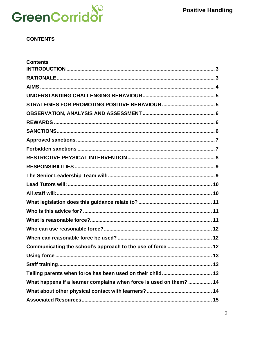

### **CONTENTS**

| <b>Contents</b>                                                     |
|---------------------------------------------------------------------|
|                                                                     |
|                                                                     |
|                                                                     |
|                                                                     |
|                                                                     |
|                                                                     |
|                                                                     |
|                                                                     |
|                                                                     |
|                                                                     |
|                                                                     |
|                                                                     |
|                                                                     |
|                                                                     |
|                                                                     |
|                                                                     |
|                                                                     |
|                                                                     |
|                                                                     |
|                                                                     |
| Communicating the school's approach to the use of force  12         |
|                                                                     |
|                                                                     |
|                                                                     |
| What happens if a learner complains when force is used on them?  14 |
|                                                                     |
|                                                                     |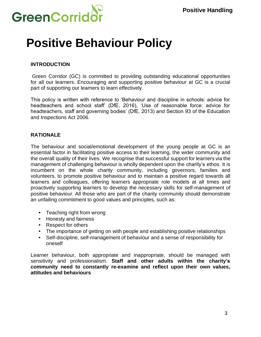

# **Positive Behaviour Policy**

### <span id="page-3-0"></span>**INTRODUCTION**

Green Corridor (GC) is committed to providing outstanding educational opportunities for all our learners. Encouraging and supporting positive behaviour at GC is a crucial part of supporting our learners to learn effectively.

This policy is written with reference to 'Behaviour and discipline in schools: advice for headteachers and school staff' (DfE, 2016), 'Use of reasonable force: advice for headteachers, staff and governing bodies' (DfE, 2013) and Section 93 of the Education and Inspections Act 2006.

#### <span id="page-3-1"></span>**RATIONALE**

The behaviour and social/emotional development of the young people at GC is an essential factor in facilitating positive access to their learning, the wider community and the overall quality of their lives. We recognise that successful support for learners via the management of challenging behaviour is wholly dependent upon the charity's ethos. It is incumbent on the whole charity community, including governors, families and volunteers, to promote positive behaviour and to maintain a positive regard towards all learners and colleagues, offering learners appropriate role models at all times and proactively supporting learners to develop the necessary skills for self-management of positive behaviour. All those who are part of the charity community should demonstrate an unfailing commitment to good values and principles, such as:

- Teaching right from wrong
- Honesty and fairness
- Respect for others
- The importance of getting on with people and establishing positive relationships
- Self-discipline, self-management of behaviour and a sense of responsibility for oneself

Learner behaviour, both appropriate and inappropriate, should be managed with sensitivity and professionalism. **Staff and other adults within the charity's community need to constantly re-examine and reflect upon their own values, attitudes and behaviours**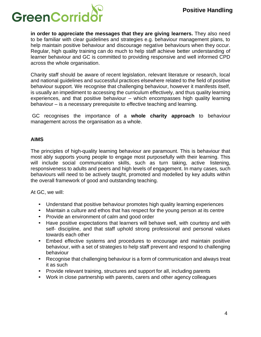

**in order to appreciate the messages that they are giving learners.** They also need to be familiar with clear guidelines and strategies e.g. behaviour management plans, to help maintain positive behaviour and discourage negative behaviours when they occur. Regular, high quality training can do much to help staff achieve better understanding of learner behaviour and GC is committed to providing responsive and well informed CPD across the whole organisation.

Charity staff should be aware of recent legislation, relevant literature or research, local and national guidelines and successful practices elsewhere related to the field of positive behaviour support. We recognise that challenging behaviour, however it manifests itself, is usually an impediment to accessing the curriculum effectively, and thus quality learning experiences, and that positive behaviour – which encompasses high quality learning behaviour – is a necessary prerequisite to effective teaching and learning.

GC recognises the importance of a **whole charity approach** to behaviour management across the organisation as a whole.

#### <span id="page-4-0"></span>**AIMS**

The principles of high-quality learning behaviour are paramount. This is behaviour that most ably supports young people to engage most purposefully with their learning. This will include social communication skills, such as turn taking, active listening, responsiveness to adults and peers and high levels of engagement. In many cases, such behaviours will need to be actively taught, promoted and modelled by key adults within the overall framework of good and outstanding teaching.

At GC, we will:

- Understand that positive behaviour promotes high quality learning experiences
- Maintain a culture and ethos that has respect for the young person at its centre
- Provide an environment of calm and good order
- Have positive expectations that learners will behave well, with courtesy and with self- discipline, and that staff uphold strong professional and personal values towards each other
- Embed effective systems and procedures to encourage and maintain positive behaviour, with a set of strategies to help staff prevent and respond to challenging behaviour
- Recognise that challenging behaviour is a form of communication and always treat it as such
- Provide relevant training, structures and support for all, including parents
- Work in close partnership with parents, carers and other agency colleagues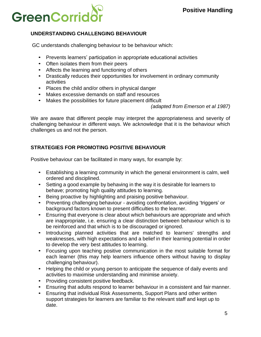

# <span id="page-5-0"></span>**UNDERSTANDING CHALLENGING BEHAVIOUR**

GC understands challenging behaviour to be behaviour which:

- Prevents learners' participation in appropriate educational activities
- Often isolates them from their peers
- Affects the learning and functioning of others
- Drastically reduces their opportunities for involvement in ordinary community activities
- Places the child and/or others in physical danger
- Makes excessive demands on staff and resources
- Makes the possibilities for future placement difficult

*(adapted from Emerson et al 1987)*

We are aware that different people may interpret the appropriateness and severity of challenging behaviour in different ways. We acknowledge that it is the behaviour which challenges us and not the person.

# <span id="page-5-1"></span>**STRATEGIES FOR PROMOTING POSITIVE BEHAVIOUR**

Positive behaviour can be facilitated in many ways, for example by:

- Establishing a learning community in which the general environment is calm, well ordered and disciplined.
- Setting a good example by behaving in the way it is desirable for learners to behave; promoting high quality attitudes to learning.
- Being proactive by highlighting and praising positive behaviour.
- Preventing challenging behaviour avoiding confrontation, avoiding 'triggers' or background factors known to present difficulties to the learner.
- Ensuring that everyone is clear about which behaviours are appropriate and which are inappropriate, i.e. ensuring a clear distinction between behaviour which is to be reinforced and that which is to be discouraged or ignored.
- Introducing planned activities that are matched to learners' strengths and weaknesses, with high expectations and a belief in their learning potential in order to develop the very best attitudes to learning.
- Focusing upon teaching positive communication in the most suitable format for each learner (this may help learners influence others without having to display challenging behaviour).
- Helping the child or young person to anticipate the sequence of daily events and activities to maximise understanding and minimise anxiety.
- Providing consistent positive feedback.
- Ensuring that adults respond to learner behaviour in a consistent and fair manner.
- Ensuring that individual Risk Assessments, Support Plans and other written support strategies for learners are familiar to the relevant staff and kept up to date.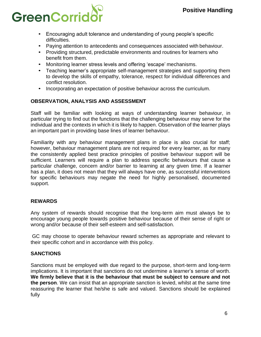

- Encouraging adult tolerance and understanding of young people's specific difficulties.
- Paying attention to antecedents and consequences associated with behaviour.
- Providing structured, predictable environments and routines for learners who benefit from them.
- Monitoring learner stress levels and offering 'escape' mechanisms.
- Teaching learner's appropriate self-management strategies and supporting them to develop the skills of empathy, tolerance, respect for individual differences and conflict resolution.
- Incorporating an expectation of positive behaviour across the curriculum.

# <span id="page-6-0"></span>**OBSERVATION, ANALYSIS AND ASSESSMENT**

Staff will be familiar with looking at ways of understanding learner behaviour, in particular trying to find out the functions that the challenging behaviour may serve for the individual and the contexts in which it is likely to happen. Observation of the learner plays an important part in providing base lines of learner behaviour.

Familiarity with any behaviour management plans in place is also crucial for staff; however, behaviour management plans are not required for every learner, as for many the consistently applied best practice principles of positive behaviour support will be sufficient. Learners will require a plan to address specific behaviours that cause a particular challenge, concern and/or barrier to learning at any given time. If a learner has a plan, it does not mean that they will always have one, as successful interventions for specific behaviours may negate the need for highly personalised, documented support.

# <span id="page-6-1"></span>**REWARDS**

Any system of rewards should recognise that the long-term aim must always be to encourage young people towards positive behaviour because of their sense of right or wrong and/or because of their self-esteem and self-satisfaction.

GC may choose to operate behaviour reward schemes as appropriate and relevant to their specific cohort and in accordance with this policy.

#### <span id="page-6-2"></span>**SANCTIONS**

Sanctions must be employed with due regard to the purpose, short-term and long-term implications. It is important that sanctions do not undermine a learner's sense of worth. **We firmly believe that it is the behaviour that must be subject to censure and not the person**. We can insist that an appropriate sanction is levied, whilst at the same time reassuring the learner that he/she is safe and valued. Sanctions should be explained fully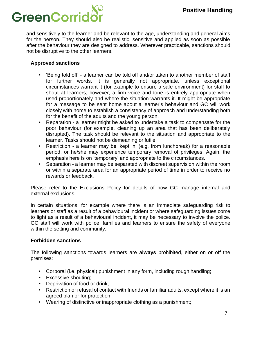

and sensitively to the learner and be relevant to the age, understanding and general aims for the person. They should also be realistic, sensitive and applied as soon as possible after the behaviour they are designed to address. Wherever practicable, sanctions should not be disruptive to the other learners.

#### <span id="page-7-0"></span>**Approved sanctions**

- 'Being told off' a learner can be told off and/or taken to another member of staff for further words. It is generally not appropriate, unless exceptional circumstances warrant it (for example to ensure a safe environment) for staff to shout at learners; however, a firm voice and tone is entirely appropriate when used proportionately and where the situation warrants it. It might be appropriate for a message to be sent home about a learner's behaviour and GC will work closely with home to establish a consistency of approach and understanding both for the benefit of the adults and the young person.
- Reparation a learner might be asked to undertake a task to compensate for the poor behaviour (for example, cleaning up an area that has been deliberately disrupted). The task should be relevant to the situation and appropriate to the learner. Tasks should not be demeaning or futile.
- Restriction a learner may be 'kept in' (e.g. from lunchbreak) for a reasonable period, or he/she may experience temporary removal of privileges. Again, the emphasis here is on 'temporary' and appropriate to the circumstances.
- Separation a learner may be separated with discreet supervision within the room or within a separate area for an appropriate period of time in order to receive no rewards or feedback.

Please refer to the Exclusions Policy for details of how GC manage internal and external exclusions.

In certain situations, for example where there is an immediate safeguarding risk to learners or staff as a result of a behavioural incident or where safeguarding issues come to light as a result of a behavioural incident, it may be necessary to involve the police. GC staff will work with police, families and learners to ensure the safety of everyone within the setting and community.

#### <span id="page-7-1"></span>**Forbidden sanctions**

The following sanctions towards learners are **always** prohibited, either on or off the premises:

- Corporal (i.e. physical) punishment in any form, including rough handling;
- Excessive shouting;
- Deprivation of food or drink;
- Restriction or refusal of contact with friends or familiar adults, except where it is an agreed plan or for protection;
- Wearing of distinctive or inappropriate clothing as a punishment;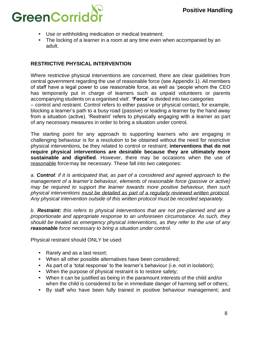

- Use or withholding medication or medical treatment;
- The locking of a learner in a room at any time even when accompanied by an adult.

#### <span id="page-8-0"></span>**RESTRICTIVE PHYSICAL INTERVENTION**

Where restrictive physical interventions are concerned, there are clear guidelines from central government regarding the use of reasonable force (see Appendix 1). All members of staff have a legal power to use reasonable force, as well as 'people whom the CEO has temporarily put in charge of learners such as unpaid volunteers or parents accompanying students on a organised visit'. **'Force'** is divided into two categories – control and restraint. Control refers to either passive or physical contact, for example, blocking a learner's path to a busy road (passive) or leading a learner by the hand away from a situation (active). 'Restraint' refers to physically engaging with a learner as part of any necessary measures in order to bring a situation under control.

The starting point for any approach to supporting learners who are engaging in challenging behaviour is for a resolution to be obtained without the need for restrictive physical interventions, be they related to control or restraint; **interventions that do not require physical interventions are desirable because they are ultimately more sustainable and dignified**. However, there may be occasions when the use of reasonable forcemay be necessary. These fall into two categories:

*a. Control: if it is anticipated that, as part of a considered and agreed approach to the management of a learner's behaviour, elements of reasonable force (passive or active) may be required to support the learner towards more positive behaviour, then such physical interventions must be detailed as part of a regularly reviewed written protocol. Any physical intervention outside of this written protocol must be recorded separately.*

*b. Restraint: this refers to physical interventions that are not pre-planned and are a proportionate and appropriate response to an unforeseen circumstance. As such, they should be treated as emergency physical interventions, as they refer to the use of any reasonable force necessary to bring a situation under control.*

Physical restraint should ONLY be used:

- Rarely and as a last resort;
- When all other possible alternatives have been considered;
- As part of a 'total response' to the learner's behaviour (i.e. not in isolation);
- When the purpose of physical restraint is to restore safety;
- When it can be justified as being in the paramount interests of the child and/or when the child is considered to be in immediate danger of harming self or others;
- By staff who have been fully trained in positive behaviour management; and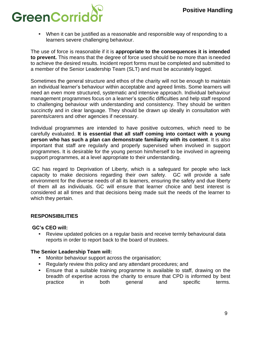# GreenCorrio

• When it can be justified as a reasonable and responsible way of responding to a learners severe challenging behaviour.

The use of force is reasonable if it is **appropriate to the consequences it is intended to prevent.** This means that the degree of force used should be no more than isneeded to achieve the desired results. Incident report forms must be completed and submitted to a member of the Senior Leadership Team (SLT) and must be accurately logged.

Sometimes the general structure and ethos of the charity will not be enough to maintain an individual learner's behaviour within acceptable and agreed limits. Some learners will need an even more structured, systematic and intensive approach. Individual behaviour management programmes focus on a learner's specific difficulties and help staff respond to challenging behaviour with understanding and consistency. They should be written succinctly and in clear language. They should be drawn up ideally in consultation with parents/carers and other agencies if necessary.

Individual programmes are intended to have positive outcomes, which need to be carefully evaluated. **It is essential that all staff coming into contact with a young person who has such a plan can demonstrate familiarity with its content**. It is also important that staff are regularly and properly supervised when involved in support programmes. It is desirable for the young person him/herself to be involved in agreeing support programmes, at a level appropriate to their understanding.

GC has regard to Deprivation of Liberty, which is a safeguard for people who lack capacity to make decisions regarding their own safety. GC will provide a safe environment for the diverse needs of all its learners, ensuring the safety and due liberty of them all as individuals. GC will ensure that learner choice and best interest is considered at all times and that decisions being made suit the needs of the learner to which they pertain.

# <span id="page-9-0"></span>**RESPONSIBILITIES**

#### **GC's CEO will:**

• Review updated policies on a regular basis and receive termly behavioural data reports in order to report back to the board of trustees.

#### <span id="page-9-1"></span>**The Senior Leadership Team will:**

- Monitor behaviour support across the organisation;
- Regularly review this policy and any attendant procedures; and
- Ensure that a suitable training programme is available to staff, drawing on the breadth of expertise across the charity to ensure that CPD is informed by best practice in both general and specific terms.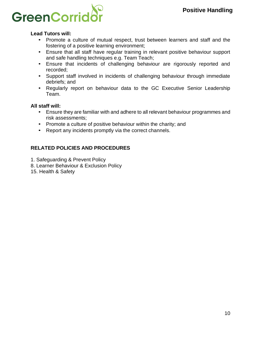

#### <span id="page-10-0"></span>**Lead Tutors will:**

- Promote a culture of mutual respect, trust between learners and staff and the fostering of a positive learning environment;
- Ensure that all staff have regular training in relevant positive behaviour support and safe handling techniques e.g. Team Teach;
- Ensure that incidents of challenging behaviour are rigorously reported and recorded;
- Support staff involved in incidents of challenging behaviour through immediate debriefs; and
- Regularly report on behaviour data to the GC Executive Senior Leadership Team.

#### <span id="page-10-1"></span>**All staff will:**

- Ensure they are familiar with and adhere to all relevant behaviour programmes and risk assessments;
- Promote a culture of positive behaviour within the charity; and
- Report any incidents promptly via the correct channels.

# **RELATED POLICIES AND PROCEDURES**

- 1. Safeguarding & Prevent Policy
- 8. Learner Behaviour & Exclusion Policy
- 15. Health & Safety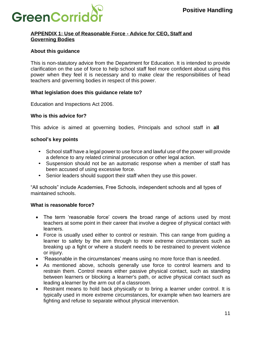

#### **APPENDIX 1: Use of Reasonable Force - Advice for CEO, Staff and Governing Bodies**

#### **About this guidance**

This is non-statutory advice from the Department for Education. It is intended to provide clarification on the use of force to help school staff feel more confident about using this power when they feel it is necessary and to make clear the responsibilities of head teachers and governing bodies in respect of this power.

#### <span id="page-11-0"></span>**What legislation does this guidance relate to?**

Education and Inspections Act 2006.

#### <span id="page-11-1"></span>**Who is this advice for?**

This advice is aimed at governing bodies, Principals and school staff in **all** 

#### **school's key points**

- School staff have a legal power to use force and lawful use of the power will provide a defence to any related criminal prosecution or other legal action.
- Suspension should not be an automatic response when a member of staff has been accused of using excessive force.
- Senior leaders should support their staff when they use this power.

"All schools" include Academies, Free Schools, independent schools and all types of maintained schools.

#### <span id="page-11-2"></span>**What is reasonable force?**

- The term 'reasonable force' covers the broad range of actions used by most teachers at some point in their career that involve a degree of physical contact with learners.
- Force is usually used either to control or restrain. This can range from guiding a learner to safety by the arm through to more extreme circumstances such as breaking up a fight or where a student needs to be restrained to prevent violence or injury.
- 'Reasonable in the circumstances' means using no more force than is needed.
- As mentioned above, schools generally use force to control learners and to restrain them. Control means either passive physical contact, such as standing between learners or blocking a learner's path, or active physical contact such as leading alearner by the arm out of a classroom.
- Restraint means to hold back physically or to bring a learner under control. It is typically used in more extreme circumstances, for example when two learners are fighting and refuse to separate without physical intervention.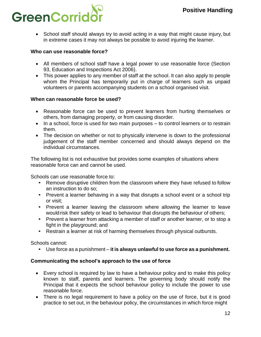

• School staff should always try to avoid acting in a way that might cause injury, but in extreme cases it may not always be possible to avoid injuring the learner.

#### <span id="page-12-0"></span>**Who can use reasonable force?**

- All members of school staff have a legal power to use reasonable force (Section 93, Education and Inspections Act 2006).
- This power applies to any member of staff at the school. It can also apply to people whom the Principal has temporarily put in charge of learners such as unpaid volunteers or parents accompanying students on a school organised visit.

#### <span id="page-12-1"></span>**When can reasonable force be used?**

- Reasonable force can be used to prevent learners from hurting themselves or others, from damaging property, or from causing disorder.
- In a school, force is used for two main purposes to control learners or to restrain them.
- The decision on whether or not to physically intervene is down to the professional judgement of the staff member concerned and should always depend on the individual circumstances.

The following list is not exhaustive but provides some examples of situations where reasonable force can and cannot be used.

Schools can use reasonable force to:

- Remove disruptive children from the classroom where they have refused to follow an instruction to do so;
- Prevent a learner behaving in a way that disrupts a school event or a school trip or visit;
- Prevent a learner leaving the classroom where allowing the learner to leave would risk their safety or lead to behaviour that disrupts the behaviour of others;
- Prevent a learner from attacking a member of staff or another learner, or to stop a fight in the playground; and
- Restrain a learner at risk of harming themselves through physical outbursts.

Schools cannot:

• Use force as a punishment – **it is always unlawful to use force as a punishment.**

#### <span id="page-12-2"></span>**Communicating the school's approach to the use of force**

- Every school is required by law to have a behaviour policy and to make this policy known to staff, parents and learners. The governing body should notify the Principal that it expects the school behaviour policy to include the power to use reasonable force.
- There is no legal requirement to have a policy on the use of force, but it is good practice to set out, in the behaviour policy, the circumstances in which force might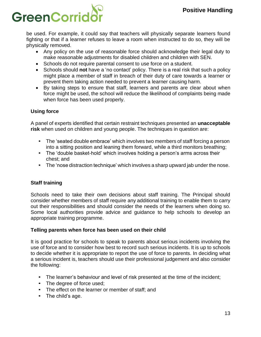# GreenCorrio

be used. For example, it could say that teachers will physically separate learners found fighting or that if a learner refuses to leave a room when instructed to do so, they will be physically removed.

- Any policy on the use of reasonable force should acknowledge their legal duty to make reasonable adjustments for disabled children and children with SEN.
- Schools do not require parental consent to use force on a student.
- Schools should **not** have a 'no contact' policy. There is a real risk that such a policy might place a member of staff in breach of their duty of care towards a learner or prevent them taking action needed to prevent a learner causing harm.
- By taking steps to ensure that staff, learners and parents are clear about when force might be used, the school will reduce the likelihood of complaints being made when force has been used properly.

# <span id="page-13-0"></span>**Using force**

A panel of experts identified that certain restraint techniques presented an **unacceptable risk** when used on children and young people. The techniques in question are:

- The 'seated double embrace' which involves two members of staff forcing a person into a sitting position and leaning them forward, while a third monitors breathing;
- The 'double basket-hold' which involves holding a person's arms across their chest; and
- The 'nose distraction technique' which involves a sharp upward jab under the nose.

# <span id="page-13-1"></span>**Staff training**

Schools need to take their own decisions about staff training. The Principal should consider whether members of staff require any additional training to enable them to carry out their responsibilities and should consider the needs of the learners when doing so. Some local authorities provide advice and guidance to help schools to develop an appropriate training programme.

# <span id="page-13-2"></span>**Telling parents when force has been used on their child**

It is good practice for schools to speak to parents about serious incidents involving the use of force and to consider how best to record such serious incidents. It is up to schools to decide whether it is appropriate to report the use of force to parents. In deciding what a serious incident is, teachers should use their professional judgement and also consider the following:

- The learner's behaviour and level of risk presented at the time of the incident;
- The degree of force used;
- The effect on the learner or member of staff; and
- The child's age.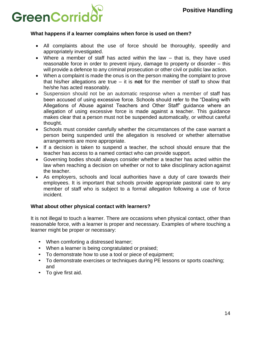

#### <span id="page-14-0"></span>**What happens if a learner complains when force is used on them?**

- All complaints about the use of force should be thoroughly, speedily and appropriately investigated.
- Where a member of staff has acted within the law that is, they have used reasonable force in order to prevent injury, damage to property or disorder – this will provide a defence to any criminal prosecution or other civil or public law action.
- When a complaint is made the onus is on the person making the complaint to prove that his/her allegations are true – it is **not** for the member of staff to show that he/she has acted reasonably.
- Suspension should not be an automatic response when a member of staff has been accused of using excessive force. Schools should refer to the "Dealing with Allegations of Abuse against Teachers and Other Staff" guidance where an allegation of using excessive force is made against a teacher. This guidance makes clear that a person must not be suspended automatically*,* or without careful thought.
- Schools must consider carefully whether the circumstances of the case warrant a person being suspended until the allegation is resolved or whether alternative arrangements are more appropriate.
- If a decision is taken to suspend a teacher, the school should ensure that the teacher has access to a named contact who can provide support.
- Governing bodies should always consider whether a teacher has acted within the law when reaching a decision on whether or not to take disciplinary action against the teacher.
- As employers, schools and local authorities have a duty of care towards their employees. It is important that schools provide appropriate pastoral care to any member of staff who is subject to a formal allegation following a use of force incident.

#### <span id="page-14-1"></span>**What about other physical contact with learners?**

It is not illegal to touch a learner. There are occasions when physical contact, other than reasonable force, with a learner is proper and necessary. Examples of where touching a learner might be proper or necessary:

- When comforting a distressed learner;
- When a learner is being congratulated or praised;
- To demonstrate how to use a tool or piece of equipment;
- To demonstrate exercises or techniques during PE lessons or sports coaching; and
- To give first aid.